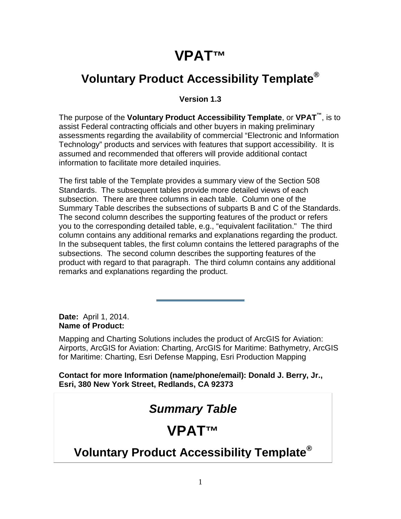# **VPAT™**

### **Voluntary Product Accessibility Template®**

#### **Version 1.3**

The purpose of the **Voluntary Product Accessibility Template**, or **VPAT™**, is to assist Federal contracting officials and other buyers in making preliminary assessments regarding the availability of commercial "Electronic and Information Technology" products and services with features that support accessibility. It is assumed and recommended that offerers will provide additional contact information to facilitate more detailed inquiries.

The first table of the Template provides a summary view of the Section 508 Standards. The subsequent tables provide more detailed views of each subsection. There are three columns in each table. Column one of the Summary Table describes the subsections of subparts B and C of the Standards. The second column describes the supporting features of the product or refers you to the corresponding detailed table, e.g., "equivalent facilitation." The third column contains any additional remarks and explanations regarding the product. In the subsequent tables, the first column contains the lettered paragraphs of the subsections. The second column describes the supporting features of the product with regard to that paragraph. The third column contains any additional remarks and explanations regarding the product.

**Date:** April 1, 2014. **Name of Product:**

Mapping and Charting Solutions includes the product of ArcGIS for Aviation: Airports, ArcGIS for Aviation: Charting, ArcGIS for Maritime: Bathymetry, ArcGIS for Maritime: Charting, Esri Defense Mapping, Esri Production Mapping

**Contact for more Information (name/phone/email): Donald J. Berry, Jr., Esri, 380 New York Street, Redlands, CA 92373**

# *Summary Table*

### **VPAT™**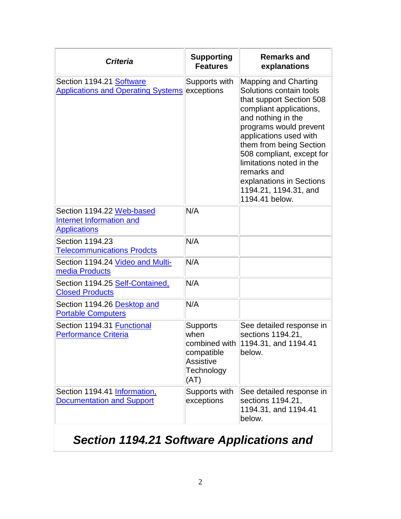| <b>Criteria</b>                                                              | <b>Supporting</b><br><b>Features</b>                                            | <b>Remarks and</b><br>explanations                                                                                                                                                                                                                                                                                                                                |
|------------------------------------------------------------------------------|---------------------------------------------------------------------------------|-------------------------------------------------------------------------------------------------------------------------------------------------------------------------------------------------------------------------------------------------------------------------------------------------------------------------------------------------------------------|
| Section 1194.21 Software<br><b>Applications and Operating Systems</b>        | Supports with<br>exceptions                                                     | <b>Mapping and Charting</b><br>Solutions contain tools<br>that support Section 508<br>compliant applications,<br>and nothing in the<br>programs would prevent<br>applications used with<br>them from being Section<br>508 compliant, except for<br>limitations noted in the<br>remarks and<br>explanations in Sections<br>1194.21, 1194.31, and<br>1194.41 below. |
| Section 1194.22 Web-based<br>Internet Information and<br><b>Applications</b> | N/A                                                                             |                                                                                                                                                                                                                                                                                                                                                                   |
| Section 1194.23<br><b>Telecommunications Prodcts</b>                         | N/A                                                                             |                                                                                                                                                                                                                                                                                                                                                                   |
| Section 1194.24 Video and Multi-<br>media Products                           | N/A                                                                             |                                                                                                                                                                                                                                                                                                                                                                   |
| Section 1194.25 Self-Contained,<br><b>Closed Products</b>                    | N/A                                                                             |                                                                                                                                                                                                                                                                                                                                                                   |
| Section 1194.26 Desktop and<br><b>Portable Computers</b>                     | N/A                                                                             |                                                                                                                                                                                                                                                                                                                                                                   |
| Section 1194.31 Functional<br><b>Performance Criteria</b>                    | <b>Supports</b><br>when<br>compatible<br><b>Assistive</b><br>Technology<br>(AT) | See detailed response in<br>sections 1194.21,<br>combined with $ 1194.31$ , and 1194.41<br>below.                                                                                                                                                                                                                                                                 |
| Section 1194.41 Information,<br><b>Documentation and Support</b>             | Supports with<br>exceptions                                                     | See detailed response in<br>sections 1194.21,<br>1194.31, and 1194.41<br>below.                                                                                                                                                                                                                                                                                   |

# *Section 1194.21 Software Applications and*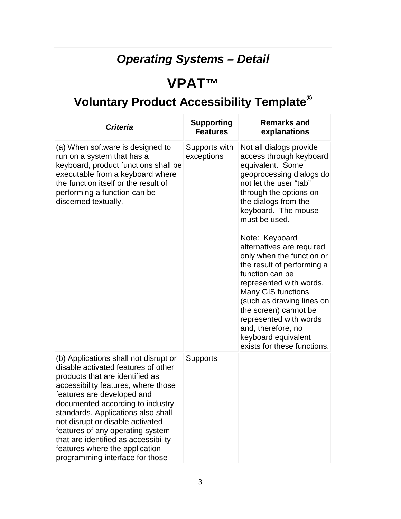# *Operating Systems – Detail*

### **VPAT™**

| <b>Criteria</b>                                                                                                                                                                                                                                                                                                                                                                | <b>Supporting</b><br><b>Features</b> | <b>Remarks and</b><br>explanations                                                                                                                                                                                                                                                                                                                                                                                                                                                                                                |
|--------------------------------------------------------------------------------------------------------------------------------------------------------------------------------------------------------------------------------------------------------------------------------------------------------------------------------------------------------------------------------|--------------------------------------|-----------------------------------------------------------------------------------------------------------------------------------------------------------------------------------------------------------------------------------------------------------------------------------------------------------------------------------------------------------------------------------------------------------------------------------------------------------------------------------------------------------------------------------|
| (a) When software is designed to<br>run on a system that has a<br>keyboard, product functions shall be<br>executable from a keyboard where<br>the function itself or the result of<br>performing a function can be<br>discerned textually.                                                                                                                                     | Supports with<br>exceptions          | Not all dialogs provide<br>access through keyboard<br>equivalent. Some<br>geoprocessing dialogs do<br>not let the user "tab"<br>through the options on<br>the dialogs from the<br>keyboard. The mouse<br>must be used.<br>Note: Keyboard<br>alternatives are required<br>only when the function or<br>the result of performing a<br>function can be<br>represented with words.<br>Many GIS functions<br>(such as drawing lines on<br>the screen) cannot be<br>represented with words<br>and, therefore, no<br>keyboard equivalent |
| (b) Applications shall not disrupt or<br>disable activated features of other<br>products that are identified as<br>accessibility features, where those<br>features are developed and<br>documented according to industry<br>standards. Applications also shall<br>not disrupt or disable activated<br>features of any operating system<br>that are identified as accessibility | <b>Supports</b>                      | exists for these functions.                                                                                                                                                                                                                                                                                                                                                                                                                                                                                                       |
| features where the application<br>programming interface for those                                                                                                                                                                                                                                                                                                              |                                      |                                                                                                                                                                                                                                                                                                                                                                                                                                                                                                                                   |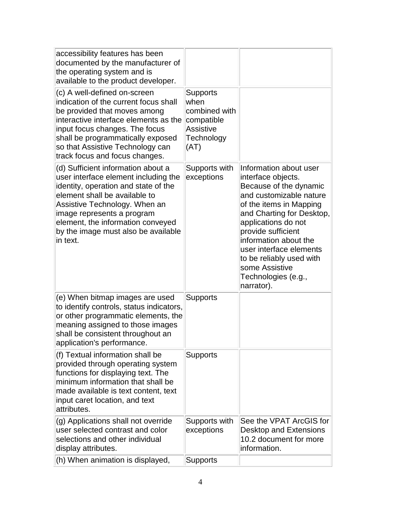| accessibility features has been<br>documented by the manufacturer of<br>the operating system and is<br>available to the product developer.                                                                                                                                                                 |                                                                                                  |                                                                                                                                                                                                                                                                                                                                               |
|------------------------------------------------------------------------------------------------------------------------------------------------------------------------------------------------------------------------------------------------------------------------------------------------------------|--------------------------------------------------------------------------------------------------|-----------------------------------------------------------------------------------------------------------------------------------------------------------------------------------------------------------------------------------------------------------------------------------------------------------------------------------------------|
| (c) A well-defined on-screen<br>indication of the current focus shall<br>be provided that moves among<br>interactive interface elements as the<br>input focus changes. The focus<br>shall be programmatically exposed<br>so that Assistive Technology can<br>track focus and focus changes.                | <b>Supports</b><br>when<br>combined with<br>compatible<br><b>Assistive</b><br>Technology<br>(AT) |                                                                                                                                                                                                                                                                                                                                               |
| (d) Sufficient information about a<br>user interface element including the<br>identity, operation and state of the<br>element shall be available to<br>Assistive Technology. When an<br>image represents a program<br>element, the information conveyed<br>by the image must also be available<br>in text. | Supports with<br>exceptions                                                                      | Information about user<br>interface objects.<br>Because of the dynamic<br>and customizable nature<br>of the items in Mapping<br>and Charting for Desktop,<br>applications do not<br>provide sufficient<br>information about the<br>user interface elements<br>to be reliably used with<br>some Assistive<br>Technologies (e.g.,<br>narrator). |
| (e) When bitmap images are used<br>to identify controls, status indicators,<br>or other programmatic elements, the<br>meaning assigned to those images<br>shall be consistent throughout an<br>application's performance.                                                                                  | <b>Supports</b>                                                                                  |                                                                                                                                                                                                                                                                                                                                               |
| (f) Textual information shall be<br>provided through operating system<br>functions for displaying text. The<br>minimum information that shall be<br>made available is text content, text<br>input caret location, and text<br>attributes.                                                                  | <b>Supports</b>                                                                                  |                                                                                                                                                                                                                                                                                                                                               |
| (g) Applications shall not override<br>user selected contrast and color<br>selections and other individual<br>display attributes.                                                                                                                                                                          | Supports with<br>exceptions                                                                      | See the VPAT ArcGIS for<br>Desktop and Extensions<br>10.2 document for more<br>information.                                                                                                                                                                                                                                                   |
| (h) When animation is displayed,                                                                                                                                                                                                                                                                           | <b>Supports</b>                                                                                  |                                                                                                                                                                                                                                                                                                                                               |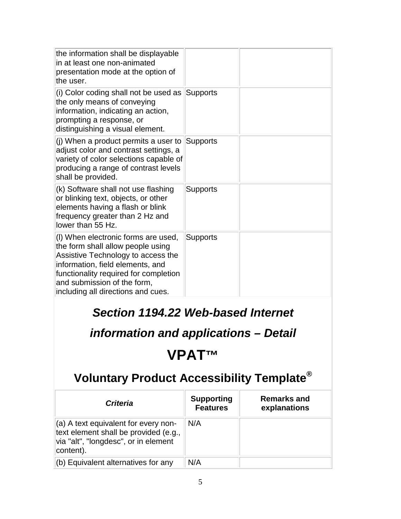| the information shall be displayable<br>in at least one non-animated<br>presentation mode at the option of<br>the user.                                                                                                                                          |                 |  |
|------------------------------------------------------------------------------------------------------------------------------------------------------------------------------------------------------------------------------------------------------------------|-----------------|--|
| (i) Color coding shall not be used as<br>the only means of conveying<br>information, indicating an action,<br>prompting a response, or<br>distinguishing a visual element.                                                                                       | Supports        |  |
| (j) When a product permits a user to<br>adjust color and contrast settings, a<br>variety of color selections capable of<br>producing a range of contrast levels<br>shall be provided.                                                                            | <b>Supports</b> |  |
| (k) Software shall not use flashing<br>or blinking text, objects, or other<br>elements having a flash or blink<br>frequency greater than 2 Hz and<br>lower than 55 Hz.                                                                                           | <b>Supports</b> |  |
| (I) When electronic forms are used,<br>the form shall allow people using<br>Assistive Technology to access the<br>information, field elements, and<br>functionality required for completion<br>and submission of the form,<br>including all directions and cues. | <b>Supports</b> |  |
|                                                                                                                                                                                                                                                                  |                 |  |

#### *Section 1194.22 Web-based Internet*

#### *information and applications – Detail*

### **VPAT™**

| <b>Criteria</b>                                                                                                                    | <b>Supporting</b><br><b>Features</b> | <b>Remarks and</b><br>explanations |
|------------------------------------------------------------------------------------------------------------------------------------|--------------------------------------|------------------------------------|
| (a) A text equivalent for every non-<br>text element shall be provided (e.g.,<br>via "alt", "longdesc", or in element<br>content). | N/A                                  |                                    |
| $ $ (b) Equivalent alternatives for any                                                                                            | N/A                                  |                                    |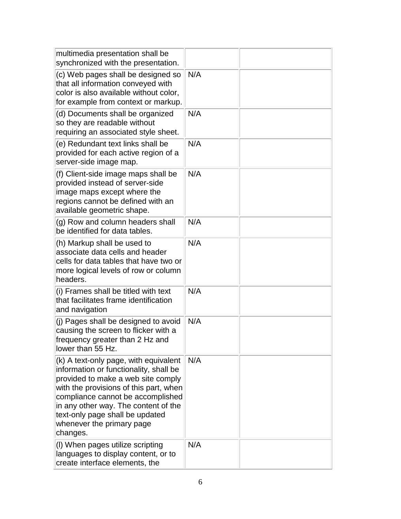| multimedia presentation shall be<br>synchronized with the presentation.                                                                                                                                                                                                                                                  |     |  |
|--------------------------------------------------------------------------------------------------------------------------------------------------------------------------------------------------------------------------------------------------------------------------------------------------------------------------|-----|--|
| (c) Web pages shall be designed so<br>that all information conveyed with<br>color is also available without color,<br>for example from context or markup.                                                                                                                                                                | N/A |  |
| (d) Documents shall be organized<br>so they are readable without<br>requiring an associated style sheet.                                                                                                                                                                                                                 | N/A |  |
| (e) Redundant text links shall be<br>provided for each active region of a<br>server-side image map.                                                                                                                                                                                                                      | N/A |  |
| (f) Client-side image maps shall be<br>provided instead of server-side<br>image maps except where the<br>regions cannot be defined with an<br>available geometric shape.                                                                                                                                                 | N/A |  |
| (g) Row and column headers shall<br>be identified for data tables.                                                                                                                                                                                                                                                       | N/A |  |
| (h) Markup shall be used to<br>associate data cells and header<br>cells for data tables that have two or<br>more logical levels of row or column<br>headers.                                                                                                                                                             | N/A |  |
| (i) Frames shall be titled with text<br>that facilitates frame identification<br>and navigation                                                                                                                                                                                                                          | N/A |  |
| (j) Pages shall be designed to avoid<br>causing the screen to flicker with a<br>frequency greater than 2 Hz and<br>lower than 55 Hz.                                                                                                                                                                                     | N/A |  |
| (k) A text-only page, with equivalent<br>information or functionality, shall be<br>provided to make a web site comply<br>with the provisions of this part, when<br>compliance cannot be accomplished<br>in any other way. The content of the<br>text-only page shall be updated<br>whenever the primary page<br>changes. | N/A |  |
| (I) When pages utilize scripting<br>languages to display content, or to<br>create interface elements, the                                                                                                                                                                                                                | N/A |  |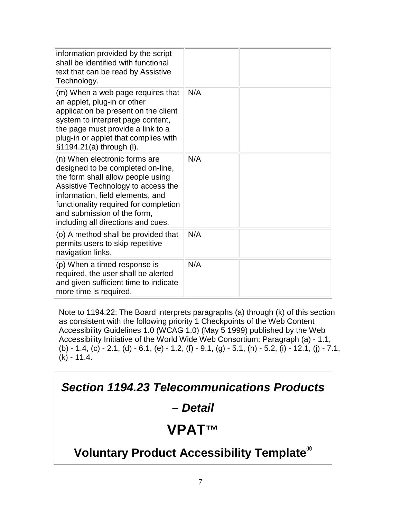| N/A |  |
|-----|--|
| N/A |  |
| N/A |  |
| N/A |  |
|     |  |

Note to 1194.22: The Board interprets paragraphs (a) through (k) of this section as consistent with the following priority 1 Checkpoints of the Web Content Accessibility Guidelines 1.0 (WCAG 1.0) (May 5 1999) published by the Web Accessibility Initiative of the World Wide Web Consortium: Paragraph (a) - 1.1, (b) - 1.4, (c) - 2.1, (d) - 6.1, (e) - 1.2, (f) - 9.1, (g) - 5.1, (h) - 5.2, (i) - 12.1, (j) - 7.1, (k) - 11.4.

*Section 1194.23 Telecommunications Products* 

#### *– Detail*

#### **VPAT™**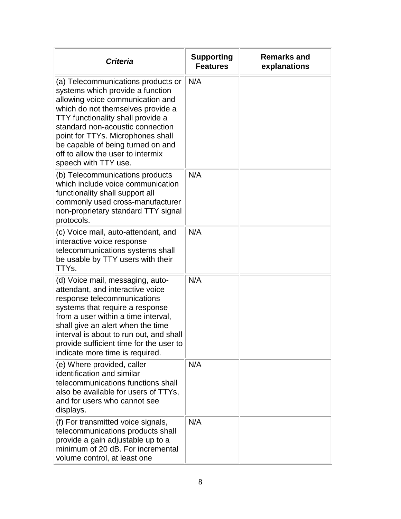| <b>Criteria</b>                                                                                                                                                                                                                                                                                                                                                 | <b>Supporting</b><br><b>Features</b> | <b>Remarks and</b><br>explanations |
|-----------------------------------------------------------------------------------------------------------------------------------------------------------------------------------------------------------------------------------------------------------------------------------------------------------------------------------------------------------------|--------------------------------------|------------------------------------|
| (a) Telecommunications products or<br>systems which provide a function<br>allowing voice communication and<br>which do not themselves provide a<br>TTY functionality shall provide a<br>standard non-acoustic connection<br>point for TTYs. Microphones shall<br>be capable of being turned on and<br>off to allow the user to intermix<br>speech with TTY use. | N/A                                  |                                    |
| (b) Telecommunications products<br>which include voice communication<br>functionality shall support all<br>commonly used cross-manufacturer<br>non-proprietary standard TTY signal<br>protocols.                                                                                                                                                                | N/A                                  |                                    |
| (c) Voice mail, auto-attendant, and<br>interactive voice response<br>telecommunications systems shall<br>be usable by TTY users with their<br>TTYs.                                                                                                                                                                                                             | N/A                                  |                                    |
| (d) Voice mail, messaging, auto-<br>attendant, and interactive voice<br>response telecommunications<br>systems that require a response<br>from a user within a time interval,<br>shall give an alert when the time<br>interval is about to run out, and shall<br>provide sufficient time for the user to<br>indicate more time is required.                     | N/A                                  |                                    |
| (e) Where provided, caller<br>identification and similar<br>telecommunications functions shall<br>also be available for users of TTYs,<br>and for users who cannot see<br>displays.                                                                                                                                                                             | N/A                                  |                                    |
| (f) For transmitted voice signals,<br>telecommunications products shall<br>provide a gain adjustable up to a<br>minimum of 20 dB. For incremental<br>volume control, at least one                                                                                                                                                                               | N/A                                  |                                    |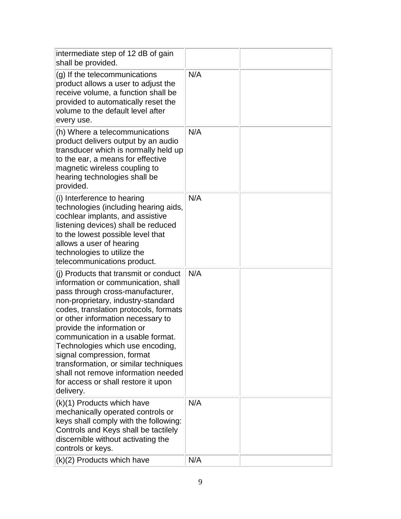| intermediate step of 12 dB of gain<br>shall be provided.                                                                                                                                                                                                                                                                                                                                                                                                                                                      |     |  |
|---------------------------------------------------------------------------------------------------------------------------------------------------------------------------------------------------------------------------------------------------------------------------------------------------------------------------------------------------------------------------------------------------------------------------------------------------------------------------------------------------------------|-----|--|
| (g) If the telecommunications<br>product allows a user to adjust the<br>receive volume, a function shall be<br>provided to automatically reset the<br>volume to the default level after<br>every use.                                                                                                                                                                                                                                                                                                         | N/A |  |
| (h) Where a telecommunications<br>product delivers output by an audio<br>transducer which is normally held up<br>to the ear, a means for effective<br>magnetic wireless coupling to<br>hearing technologies shall be<br>provided.                                                                                                                                                                                                                                                                             | N/A |  |
| (i) Interference to hearing<br>technologies (including hearing aids,<br>cochlear implants, and assistive<br>listening devices) shall be reduced<br>to the lowest possible level that<br>allows a user of hearing<br>technologies to utilize the<br>telecommunications product.                                                                                                                                                                                                                                | N/A |  |
| (j) Products that transmit or conduct<br>information or communication, shall<br>pass through cross-manufacturer,<br>non-proprietary, industry-standard<br>codes, translation protocols, formats<br>or other information necessary to<br>provide the information or<br>communication in a usable format.<br>Technologies which use encoding,<br>signal compression, format<br>transformation, or similar techniques<br>shall not remove information needed<br>for access or shall restore it upon<br>delivery. | N/A |  |
| (k)(1) Products which have<br>mechanically operated controls or<br>keys shall comply with the following:<br>Controls and Keys shall be tactilely<br>discernible without activating the<br>controls or keys.                                                                                                                                                                                                                                                                                                   | N/A |  |
| $(k)(2)$ Products which have                                                                                                                                                                                                                                                                                                                                                                                                                                                                                  | N/A |  |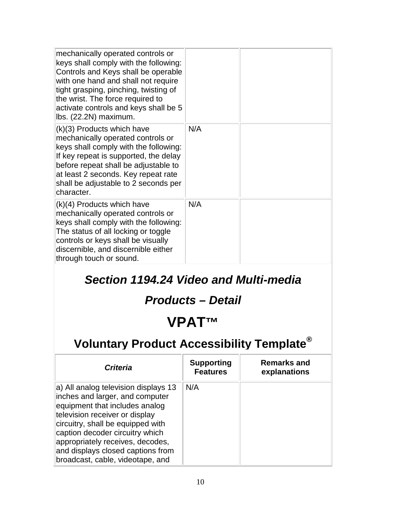| mechanically operated controls or<br>keys shall comply with the following:<br>Controls and Keys shall be operable<br>with one hand and shall not require<br>tight grasping, pinching, twisting of<br>the wrist. The force required to<br>activate controls and keys shall be 5<br>lbs. (22.2N) maximum. |     |  |
|---------------------------------------------------------------------------------------------------------------------------------------------------------------------------------------------------------------------------------------------------------------------------------------------------------|-----|--|
| $(k)(3)$ Products which have<br>mechanically operated controls or<br>keys shall comply with the following:<br>If key repeat is supported, the delay<br>before repeat shall be adjustable to<br>at least 2 seconds. Key repeat rate<br>shall be adjustable to 2 seconds per<br>character.                | N/A |  |
| (k)(4) Products which have<br>mechanically operated controls or<br>keys shall comply with the following:<br>The status of all locking or toggle<br>controls or keys shall be visually<br>discernible, and discernible either<br>through touch or sound.                                                 | N/A |  |

#### *Section 1194.24 Video and Multi-media*

#### *Products – Detail*

### **VPAT™**

| <b>Criteria</b>                                                                                                                                                                                                                                                                                                                  | <b>Supporting</b><br><b>Features</b> | <b>Remarks and</b><br>explanations |
|----------------------------------------------------------------------------------------------------------------------------------------------------------------------------------------------------------------------------------------------------------------------------------------------------------------------------------|--------------------------------------|------------------------------------|
| a) All analog television displays 13<br>inches and larger, and computer<br>equipment that includes analog<br>television receiver or display<br>circuitry, shall be equipped with<br>caption decoder circuitry which<br>appropriately receives, decodes,<br>and displays closed captions from<br>broadcast, cable, videotape, and | N/A                                  |                                    |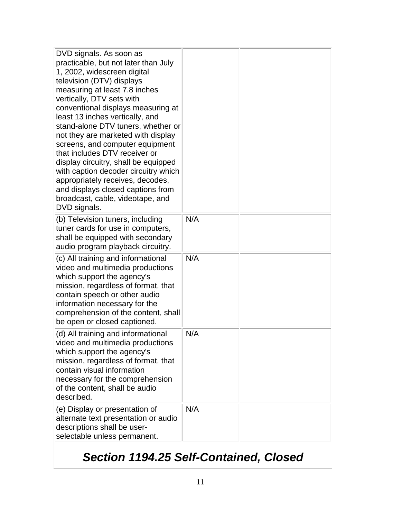| DVD signals. As soon as<br>practicable, but not later than July<br>1, 2002, widescreen digital<br>television (DTV) displays<br>measuring at least 7.8 inches<br>vertically, DTV sets with<br>conventional displays measuring at<br>least 13 inches vertically, and<br>stand-alone DTV tuners, whether or<br>not they are marketed with display<br>screens, and computer equipment<br>that includes DTV receiver or<br>display circuitry, shall be equipped<br>with caption decoder circuitry which<br>appropriately receives, decodes,<br>and displays closed captions from<br>broadcast, cable, videotape, and<br>DVD signals. |     |  |
|---------------------------------------------------------------------------------------------------------------------------------------------------------------------------------------------------------------------------------------------------------------------------------------------------------------------------------------------------------------------------------------------------------------------------------------------------------------------------------------------------------------------------------------------------------------------------------------------------------------------------------|-----|--|
| (b) Television tuners, including<br>tuner cards for use in computers,<br>shall be equipped with secondary<br>audio program playback circuitry.                                                                                                                                                                                                                                                                                                                                                                                                                                                                                  | N/A |  |
| (c) All training and informational<br>video and multimedia productions<br>which support the agency's<br>mission, regardless of format, that<br>contain speech or other audio<br>information necessary for the<br>comprehension of the content, shall<br>be open or closed captioned.                                                                                                                                                                                                                                                                                                                                            | N/A |  |
| (d) All training and informational<br>video and multimedia productions<br>which support the agency's<br>mission, regardless of format, that<br>contain visual information<br>necessary for the comprehension<br>of the content, shall be audio<br>described.                                                                                                                                                                                                                                                                                                                                                                    | N/A |  |
| (e) Display or presentation of<br>alternate text presentation or audio<br>descriptions shall be user-<br>selectable unless permanent.                                                                                                                                                                                                                                                                                                                                                                                                                                                                                           | N/A |  |

# *Section 1194.25 Self-Contained, Closed*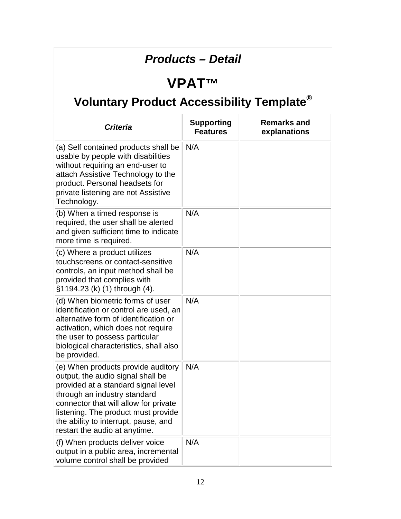#### *Products – Detail*

# **VPAT™**

| Criteria                                                                                                                                                                                                                                                                                                | <b>Supporting</b><br><b>Features</b> | <b>Remarks and</b><br>explanations |
|---------------------------------------------------------------------------------------------------------------------------------------------------------------------------------------------------------------------------------------------------------------------------------------------------------|--------------------------------------|------------------------------------|
| (a) Self contained products shall be<br>usable by people with disabilities<br>without requiring an end-user to<br>attach Assistive Technology to the<br>product. Personal headsets for<br>private listening are not Assistive<br>Technology.                                                            | N/A                                  |                                    |
| (b) When a timed response is<br>required, the user shall be alerted<br>and given sufficient time to indicate<br>more time is required.                                                                                                                                                                  | N/A                                  |                                    |
| (c) Where a product utilizes<br>touchscreens or contact-sensitive<br>controls, an input method shall be<br>provided that complies with<br>§1194.23 (k) (1) through (4).                                                                                                                                 | N/A                                  |                                    |
| (d) When biometric forms of user<br>identification or control are used, an<br>alternative form of identification or<br>activation, which does not require<br>the user to possess particular<br>biological characteristics, shall also<br>be provided.                                                   | N/A                                  |                                    |
| (e) When products provide auditory<br>output, the audio signal shall be<br>provided at a standard signal level<br>through an industry standard<br>connector that will allow for private<br>listening. The product must provide<br>the ability to interrupt, pause, and<br>restart the audio at anytime. | N/A                                  |                                    |
| (f) When products deliver voice<br>output in a public area, incremental<br>volume control shall be provided                                                                                                                                                                                             | N/A                                  |                                    |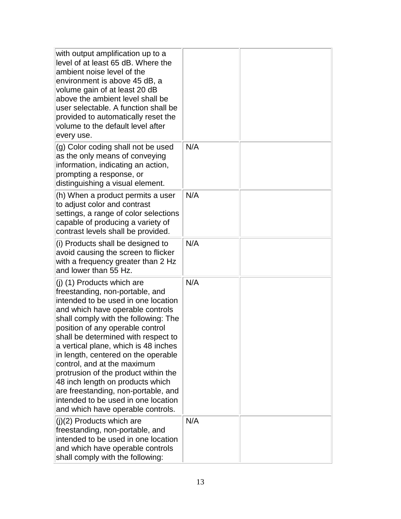| with output amplification up to a<br>level of at least 65 dB. Where the<br>ambient noise level of the<br>environment is above 45 dB, a<br>volume gain of at least 20 dB<br>above the ambient level shall be<br>user selectable. A function shall be<br>provided to automatically reset the<br>volume to the default level after<br>every use.                                                                                                                                                                                                                            |     |  |
|--------------------------------------------------------------------------------------------------------------------------------------------------------------------------------------------------------------------------------------------------------------------------------------------------------------------------------------------------------------------------------------------------------------------------------------------------------------------------------------------------------------------------------------------------------------------------|-----|--|
| (g) Color coding shall not be used<br>as the only means of conveying<br>information, indicating an action,<br>prompting a response, or<br>distinguishing a visual element.                                                                                                                                                                                                                                                                                                                                                                                               | N/A |  |
| (h) When a product permits a user<br>to adjust color and contrast<br>settings, a range of color selections<br>capable of producing a variety of<br>contrast levels shall be provided.                                                                                                                                                                                                                                                                                                                                                                                    | N/A |  |
| (i) Products shall be designed to<br>avoid causing the screen to flicker<br>with a frequency greater than 2 Hz<br>and lower than 55 Hz.                                                                                                                                                                                                                                                                                                                                                                                                                                  | N/A |  |
| (j) (1) Products which are<br>freestanding, non-portable, and<br>intended to be used in one location<br>and which have operable controls<br>shall comply with the following: The<br>position of any operable control<br>shall be determined with respect to<br>a vertical plane, which is 48 inches<br>in length, centered on the operable<br>control, and at the maximum<br>protrusion of the product within the<br>48 inch length on products which<br>are freestanding, non-portable, and<br>intended to be used in one location<br>and which have operable controls. | N/A |  |
| $(j)(2)$ Products which are<br>freestanding, non-portable, and<br>intended to be used in one location<br>and which have operable controls<br>shall comply with the following:                                                                                                                                                                                                                                                                                                                                                                                            | N/A |  |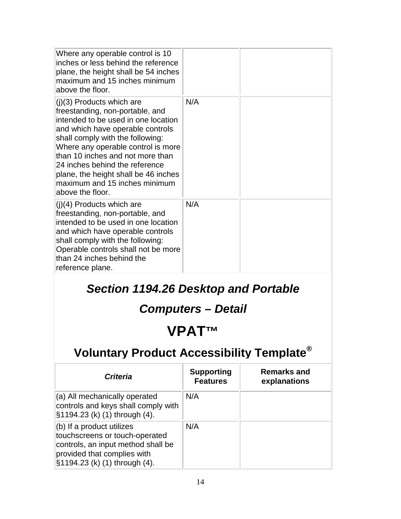| Where any operable control is 10<br>inches or less behind the reference<br>plane, the height shall be 54 inches<br>maximum and 15 inches minimum<br>above the floor.                                                                                                                                                                                                                   |     |  |
|----------------------------------------------------------------------------------------------------------------------------------------------------------------------------------------------------------------------------------------------------------------------------------------------------------------------------------------------------------------------------------------|-----|--|
| $(j)(3)$ Products which are<br>freestanding, non-portable, and<br>intended to be used in one location<br>and which have operable controls<br>shall comply with the following:<br>Where any operable control is more<br>than 10 inches and not more than<br>24 inches behind the reference<br>plane, the height shall be 46 inches<br>maximum and 15 inches minimum<br>above the floor. | N/A |  |
| $(j)(4)$ Products which are<br>freestanding, non-portable, and<br>intended to be used in one location<br>and which have operable controls<br>shall comply with the following:<br>Operable controls shall not be more<br>than 24 inches behind the<br>reference plane.                                                                                                                  | N/A |  |

### *Section 1194.26 Desktop and Portable*

*Computers – Detail*

### **VPAT™**

| <b>Criteria</b>                                                                                                                                                     | <b>Supporting</b><br><b>Features</b> | <b>Remarks and</b><br>explanations |
|---------------------------------------------------------------------------------------------------------------------------------------------------------------------|--------------------------------------|------------------------------------|
| (a) All mechanically operated<br>controls and keys shall comply with<br>§1194.23 (k) (1) through (4).                                                               | N/A                                  |                                    |
| $(6)$ If a product utilizes<br>touchscreens or touch-operated<br>controls, an input method shall be<br>provided that complies with<br>§1194.23 (k) (1) through (4). | N/A                                  |                                    |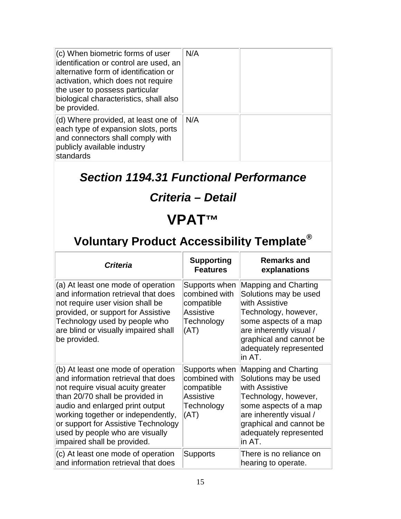| (c) When biometric forms of user<br>identification or control are used, an<br>alternative form of identification or<br>activation, which does not require<br>the user to possess particular<br>biological characteristics, shall also<br>be provided. | N/A |  |
|-------------------------------------------------------------------------------------------------------------------------------------------------------------------------------------------------------------------------------------------------------|-----|--|
| (d) Where provided, at least one of<br>each type of expansion slots, ports<br>and connectors shall comply with<br>publicly available industry<br>standards                                                                                            | N/A |  |

### *Section 1194.31 Functional Performance*

### *Criteria – Detail*

### **VPAT™**

| <b>Criteria</b>                                                                                                                                                                                                                                                                                                                     | <b>Supporting</b><br><b>Features</b>                                                   | <b>Remarks and</b><br>explanations                                                                                                                                                                                 |
|-------------------------------------------------------------------------------------------------------------------------------------------------------------------------------------------------------------------------------------------------------------------------------------------------------------------------------------|----------------------------------------------------------------------------------------|--------------------------------------------------------------------------------------------------------------------------------------------------------------------------------------------------------------------|
| (a) At least one mode of operation<br>and information retrieval that does<br>not require user vision shall be<br>provided, or support for Assistive<br>Technology used by people who<br>are blind or visually impaired shall<br>be provided.                                                                                        | Supports when<br>combined with<br>compatible<br><b>Assistive</b><br>Technology<br>(AT) | <b>Mapping and Charting</b><br>Solutions may be used<br>with Assistive<br>Technology, however,<br>some aspects of a map<br>are inherently visual /<br>graphical and cannot be<br>adequately represented<br>lin AT. |
| (b) At least one mode of operation<br>and information retrieval that does<br>not require visual acuity greater<br>than 20/70 shall be provided in<br>audio and enlarged print output<br>working together or independently,<br>or support for Assistive Technology<br>used by people who are visually<br>impaired shall be provided. | Supports when<br>combined with<br>compatible<br><b>Assistive</b><br>Technology<br>(AT) | <b>Mapping and Charting</b><br>Solutions may be used<br>with Assistive<br>Technology, however,<br>some aspects of a map<br>are inherently visual /<br>graphical and cannot be<br>adequately represented<br>lin AT. |
| (c) At least one mode of operation<br>and information retrieval that does                                                                                                                                                                                                                                                           | <b>Supports</b>                                                                        | There is no reliance on<br>hearing to operate.                                                                                                                                                                     |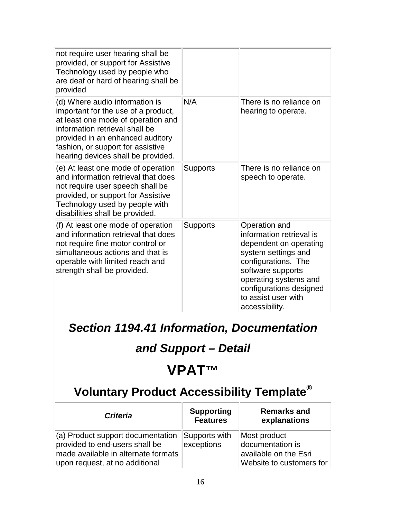| not require user hearing shall be<br>provided, or support for Assistive<br>Technology used by people who<br>are deaf or hard of hearing shall be<br>provided                                                                                                 |                 |                                                                                                                                                                                                                                     |
|--------------------------------------------------------------------------------------------------------------------------------------------------------------------------------------------------------------------------------------------------------------|-----------------|-------------------------------------------------------------------------------------------------------------------------------------------------------------------------------------------------------------------------------------|
| (d) Where audio information is<br>important for the use of a product,<br>at least one mode of operation and<br>information retrieval shall be<br>provided in an enhanced auditory<br>fashion, or support for assistive<br>hearing devices shall be provided. | N/A             | There is no reliance on<br>hearing to operate.                                                                                                                                                                                      |
| (e) At least one mode of operation<br>and information retrieval that does<br>not require user speech shall be<br>provided, or support for Assistive<br>Technology used by people with<br>disabilities shall be provided.                                     | Supports        | There is no reliance on<br>speech to operate.                                                                                                                                                                                       |
| (f) At least one mode of operation<br>and information retrieval that does<br>not require fine motor control or<br>simultaneous actions and that is<br>operable with limited reach and<br>strength shall be provided.                                         | <b>Supports</b> | Operation and<br>information retrieval is<br>dependent on operating<br>system settings and<br>configurations. The<br>software supports<br>operating systems and<br>configurations designed<br>to assist user with<br>accessibility. |

*Section 1194.41 Information, Documentation* 

### *and Support – Detail*

# **VPAT™**

| <b>Criteria</b>                                                                                                                                      | <b>Supporting</b><br><b>Features</b> | <b>Remarks and</b><br>explanations                                                    |
|------------------------------------------------------------------------------------------------------------------------------------------------------|--------------------------------------|---------------------------------------------------------------------------------------|
| $\vert$ (a) Product support documentation<br>provided to end-users shall be<br>made available in alternate formats<br>upon request, at no additional | Supports with<br>exceptions          | Most product<br>documentation is<br>available on the Esri<br>Website to customers for |